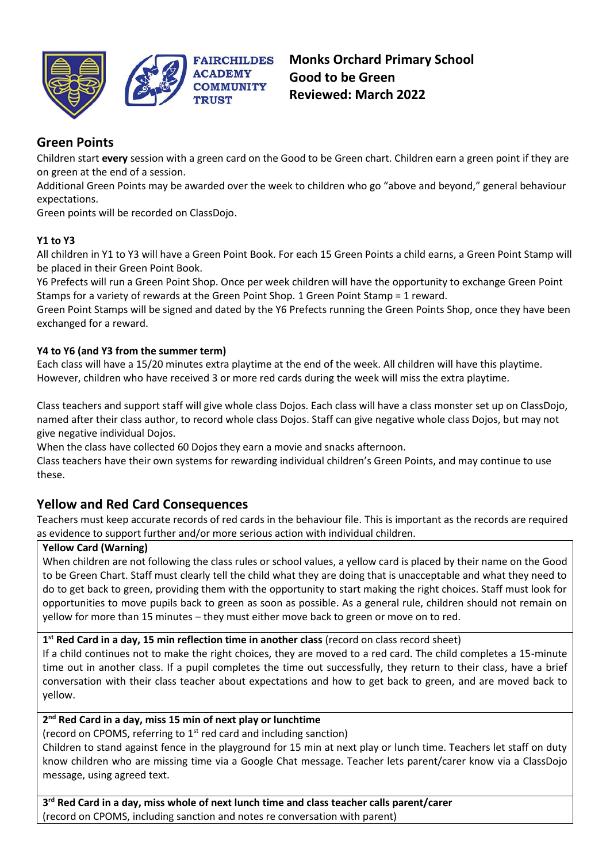

# **Green Points**

Children start **every** session with a green card on the Good to be Green chart. Children earn a green point if they are on green at the end of a session.

Additional Green Points may be awarded over the week to children who go "above and beyond," general behaviour expectations.

Green points will be recorded on ClassDojo.

# **Y1 to Y3**

All children in Y1 to Y3 will have a Green Point Book. For each 15 Green Points a child earns, a Green Point Stamp will be placed in their Green Point Book.

Y6 Prefects will run a Green Point Shop. Once per week children will have the opportunity to exchange Green Point Stamps for a variety of rewards at the Green Point Shop. 1 Green Point Stamp = 1 reward.

Green Point Stamps will be signed and dated by the Y6 Prefects running the Green Points Shop, once they have been exchanged for a reward.

# **Y4 to Y6 (and Y3 from the summer term)**

Each class will have a 15/20 minutes extra playtime at the end of the week. All children will have this playtime. However, children who have received 3 or more red cards during the week will miss the extra playtime.

Class teachers and support staff will give whole class Dojos. Each class will have a class monster set up on ClassDojo, named after their class author, to record whole class Dojos. Staff can give negative whole class Dojos, but may not give negative individual Dojos.

When the class have collected 60 Dojos they earn a movie and snacks afternoon.

Class teachers have their own systems for rewarding individual children's Green Points, and may continue to use these.

# **Yellow and Red Card Consequences**

Teachers must keep accurate records of red cards in the behaviour file. This is important as the records are required as evidence to support further and/or more serious action with individual children.

## **Yellow Card (Warning)**

When children are not following the class rules or school values, a yellow card is placed by their name on the Good to be Green Chart. Staff must clearly tell the child what they are doing that is unacceptable and what they need to do to get back to green, providing them with the opportunity to start making the right choices. Staff must look for opportunities to move pupils back to green as soon as possible. As a general rule, children should not remain on yellow for more than 15 minutes – they must either move back to green or move on to red.

#### **1 st Red Card in a day, 15 min reflection time in another class** (record on class record sheet)

If a child continues not to make the right choices, they are moved to a red card. The child completes a 15-minute time out in another class. If a pupil completes the time out successfully, they return to their class, have a brief conversation with their class teacher about expectations and how to get back to green, and are moved back to yellow.

#### **2 nd Red Card in a day, miss 15 min of next play or lunchtime**

(record on CPOMS, referring to  $1<sup>st</sup>$  red card and including sanction)

Children to stand against fence in the playground for 15 min at next play or lunch time. Teachers let staff on duty know children who are missing time via a Google Chat message. Teacher lets parent/carer know via a ClassDojo message, using agreed text.

**3 rd Red Card in a day, miss whole of next lunch time and class teacher calls parent/carer** (record on CPOMS, including sanction and notes re conversation with parent)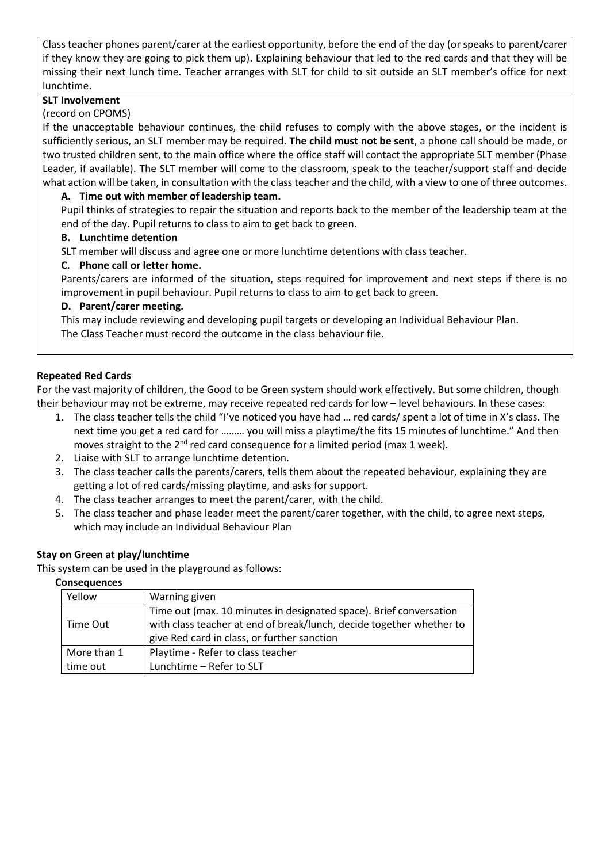Class teacher phones parent/carer at the earliest opportunity, before the end of the day (or speaks to parent/carer if they know they are going to pick them up). Explaining behaviour that led to the red cards and that they will be missing their next lunch time. Teacher arranges with SLT for child to sit outside an SLT member's office for next lunchtime.

## **SLT Involvement**

## (record on CPOMS)

If the unacceptable behaviour continues, the child refuses to comply with the above stages, or the incident is sufficiently serious, an SLT member may be required. **The child must not be sent**, a phone call should be made, or two trusted children sent, to the main office where the office staff will contact the appropriate SLT member (Phase Leader, if available). The SLT member will come to the classroom, speak to the teacher/support staff and decide what action will be taken, in consultation with the class teacher and the child, with a view to one of three outcomes.

## **A. Time out with member of leadership team.**

Pupil thinks of strategies to repair the situation and reports back to the member of the leadership team at the end of the day. Pupil returns to class to aim to get back to green.

## **B. Lunchtime detention**

SLT member will discuss and agree one or more lunchtime detentions with class teacher.

## **C. Phone call or letter home.**

Parents/carers are informed of the situation, steps required for improvement and next steps if there is no improvement in pupil behaviour. Pupil returns to class to aim to get back to green.

## **D. Parent/carer meeting.**

This may include reviewing and developing pupil targets or developing an Individual Behaviour Plan. The Class Teacher must record the outcome in the class behaviour file.

## **Repeated Red Cards**

For the vast majority of children, the Good to be Green system should work effectively. But some children, though their behaviour may not be extreme, may receive repeated red cards for low – level behaviours. In these cases:

- 1. The class teacher tells the child "I've noticed you have had … red cards/ spent a lot of time in X's class. The next time you get a red card for ……… you will miss a playtime/the fits 15 minutes of lunchtime." And then moves straight to the  $2^{nd}$  red card consequence for a limited period (max 1 week).
- 2. Liaise with SLT to arrange lunchtime detention.
- 3. The class teacher calls the parents/carers, tells them about the repeated behaviour, explaining they are getting a lot of red cards/missing playtime, and asks for support.
- 4. The class teacher arranges to meet the parent/carer, with the child.
- 5. The class teacher and phase leader meet the parent/carer together, with the child, to agree next steps, which may include an Individual Behaviour Plan

#### **Stay on Green at play/lunchtime**

This system can be used in the playground as follows:

#### **Consequences**

| Yellow      | Warning given                                                        |
|-------------|----------------------------------------------------------------------|
| Time Out    | Time out (max. 10 minutes in designated space). Brief conversation   |
|             | with class teacher at end of break/lunch, decide together whether to |
|             | give Red card in class, or further sanction                          |
| More than 1 | Playtime - Refer to class teacher                                    |
| time out    | Lunchtime - Refer to SLT                                             |